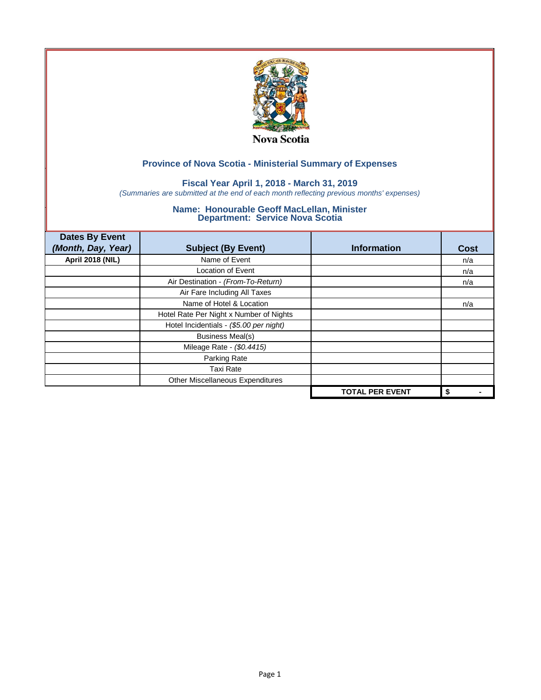

## **Fiscal Year April 1, 2018 - March 31, 2019**

*(Summaries are submitted at the end of each month reflecting previous months' expenses)*

| <b>Dates By Event</b>   |                                         |                        |             |
|-------------------------|-----------------------------------------|------------------------|-------------|
| (Month, Day, Year)      | <b>Subject (By Event)</b>               | <b>Information</b>     | <b>Cost</b> |
| <b>April 2018 (NIL)</b> | Name of Event                           |                        | n/a         |
|                         | <b>Location of Event</b>                |                        | n/a         |
|                         | Air Destination - (From-To-Return)      |                        | n/a         |
|                         | Air Fare Including All Taxes            |                        |             |
|                         | Name of Hotel & Location                |                        | n/a         |
|                         | Hotel Rate Per Night x Number of Nights |                        |             |
|                         | Hotel Incidentials - (\$5.00 per night) |                        |             |
|                         | <b>Business Meal(s)</b>                 |                        |             |
|                         | Mileage Rate - (\$0.4415)               |                        |             |
|                         | Parking Rate                            |                        |             |
|                         | <b>Taxi Rate</b>                        |                        |             |
|                         | Other Miscellaneous Expenditures        |                        |             |
|                         |                                         | <b>TOTAL PER EVENT</b> | \$          |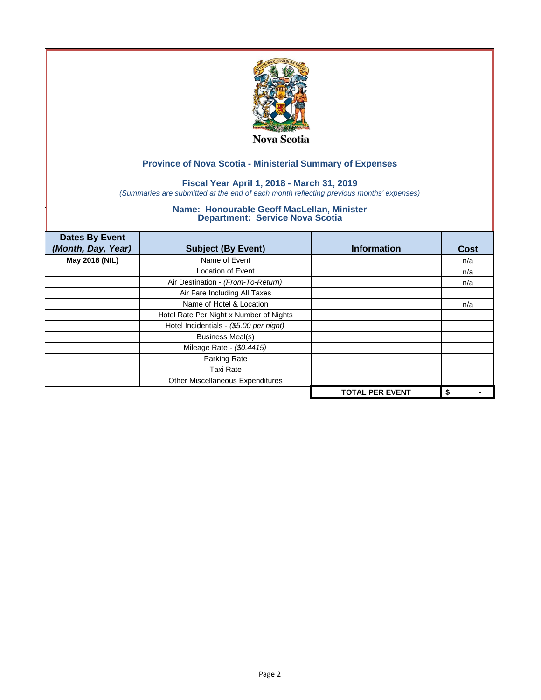

## **Fiscal Year April 1, 2018 - March 31, 2019**

*(Summaries are submitted at the end of each month reflecting previous months' expenses)*

| <b>Dates By Event</b><br>(Month, Day, Year) | <b>Subject (By Event)</b>               | <b>Information</b>     | <b>Cost</b> |
|---------------------------------------------|-----------------------------------------|------------------------|-------------|
| May 2018 (NIL)                              | Name of Event                           |                        | n/a         |
|                                             | Location of Event                       |                        | n/a         |
|                                             | Air Destination - (From-To-Return)      |                        | n/a         |
|                                             | Air Fare Including All Taxes            |                        |             |
|                                             | Name of Hotel & Location                |                        | n/a         |
|                                             | Hotel Rate Per Night x Number of Nights |                        |             |
|                                             | Hotel Incidentials - (\$5.00 per night) |                        |             |
|                                             | <b>Business Meal(s)</b>                 |                        |             |
|                                             | Mileage Rate - (\$0.4415)               |                        |             |
|                                             | Parking Rate                            |                        |             |
|                                             | <b>Taxi Rate</b>                        |                        |             |
|                                             | Other Miscellaneous Expenditures        |                        |             |
|                                             |                                         | <b>TOTAL PER EVENT</b> | \$          |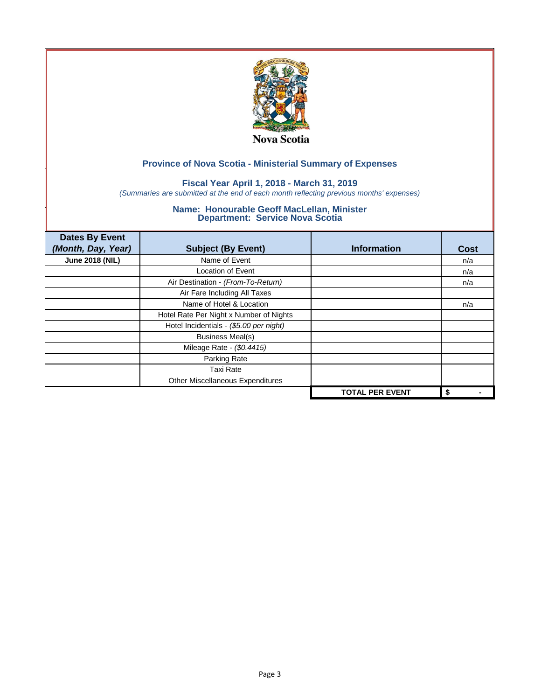

## **Fiscal Year April 1, 2018 - March 31, 2019**

*(Summaries are submitted at the end of each month reflecting previous months' expenses)*

| <b>Dates By Event</b><br>(Month, Day, Year) | <b>Subject (By Event)</b>               | <b>Information</b>     | <b>Cost</b> |
|---------------------------------------------|-----------------------------------------|------------------------|-------------|
| <b>June 2018 (NIL)</b>                      | Name of Event                           |                        | n/a         |
|                                             | Location of Event                       |                        | n/a         |
|                                             | Air Destination - (From-To-Return)      |                        | n/a         |
|                                             | Air Fare Including All Taxes            |                        |             |
|                                             | Name of Hotel & Location                |                        | n/a         |
|                                             | Hotel Rate Per Night x Number of Nights |                        |             |
|                                             | Hotel Incidentials - (\$5.00 per night) |                        |             |
|                                             | <b>Business Meal(s)</b>                 |                        |             |
|                                             | Mileage Rate - (\$0.4415)               |                        |             |
|                                             | Parking Rate                            |                        |             |
|                                             | <b>Taxi Rate</b>                        |                        |             |
|                                             | Other Miscellaneous Expenditures        |                        |             |
|                                             |                                         | <b>TOTAL PER EVENT</b> | \$          |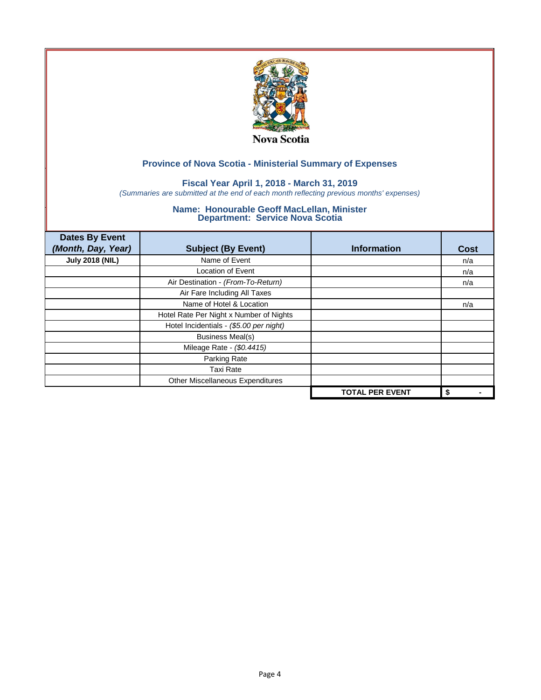

## **Fiscal Year April 1, 2018 - March 31, 2019**

*(Summaries are submitted at the end of each month reflecting previous months' expenses)*

| <b>Dates By Event</b><br>(Month, Day, Year) | <b>Subject (By Event)</b>               | <b>Information</b>     | <b>Cost</b> |
|---------------------------------------------|-----------------------------------------|------------------------|-------------|
| <b>July 2018 (NIL)</b>                      | Name of Event                           |                        | n/a         |
|                                             | Location of Event                       |                        | n/a         |
|                                             | Air Destination - (From-To-Return)      |                        | n/a         |
|                                             | Air Fare Including All Taxes            |                        |             |
|                                             | Name of Hotel & Location                |                        | n/a         |
|                                             | Hotel Rate Per Night x Number of Nights |                        |             |
|                                             | Hotel Incidentials - (\$5.00 per night) |                        |             |
|                                             | <b>Business Meal(s)</b>                 |                        |             |
|                                             | Mileage Rate - (\$0.4415)               |                        |             |
|                                             | Parking Rate                            |                        |             |
|                                             | <b>Taxi Rate</b>                        |                        |             |
|                                             | Other Miscellaneous Expenditures        |                        |             |
|                                             |                                         | <b>TOTAL PER EVENT</b> | \$          |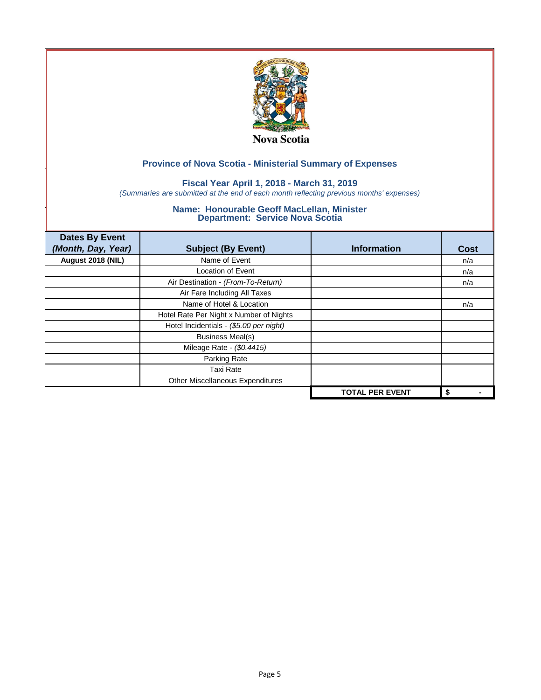

## **Fiscal Year April 1, 2018 - March 31, 2019**

*(Summaries are submitted at the end of each month reflecting previous months' expenses)*

| <b>Dates By Event</b><br>(Month, Day, Year) | <b>Subject (By Event)</b>               | <b>Information</b>     | <b>Cost</b> |
|---------------------------------------------|-----------------------------------------|------------------------|-------------|
| August 2018 (NIL)                           | Name of Event                           |                        | n/a         |
|                                             | Location of Event                       |                        | n/a         |
|                                             | Air Destination - (From-To-Return)      |                        | n/a         |
|                                             | Air Fare Including All Taxes            |                        |             |
|                                             | Name of Hotel & Location                |                        | n/a         |
|                                             | Hotel Rate Per Night x Number of Nights |                        |             |
|                                             | Hotel Incidentials - (\$5.00 per night) |                        |             |
|                                             | <b>Business Meal(s)</b>                 |                        |             |
|                                             | Mileage Rate - (\$0.4415)               |                        |             |
|                                             | Parking Rate                            |                        |             |
|                                             | <b>Taxi Rate</b>                        |                        |             |
|                                             | Other Miscellaneous Expenditures        |                        |             |
|                                             |                                         | <b>TOTAL PER EVENT</b> | \$          |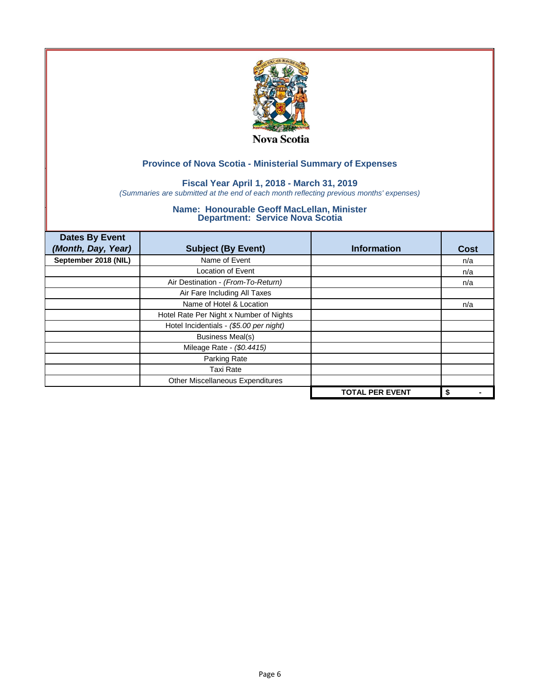

## **Fiscal Year April 1, 2018 - March 31, 2019**

*(Summaries are submitted at the end of each month reflecting previous months' expenses)*

| <b>Dates By Event</b><br>(Month, Day, Year) | <b>Subject (By Event)</b>               | <b>Information</b>     | Cost |
|---------------------------------------------|-----------------------------------------|------------------------|------|
| September 2018 (NIL)                        | Name of Event                           |                        | n/a  |
|                                             | <b>Location of Event</b>                |                        | n/a  |
|                                             | Air Destination - (From-To-Return)      |                        | n/a  |
|                                             | Air Fare Including All Taxes            |                        |      |
|                                             | Name of Hotel & Location                |                        | n/a  |
|                                             | Hotel Rate Per Night x Number of Nights |                        |      |
|                                             | Hotel Incidentials - (\$5.00 per night) |                        |      |
|                                             | <b>Business Meal(s)</b>                 |                        |      |
|                                             | Mileage Rate - (\$0.4415)               |                        |      |
|                                             | Parking Rate                            |                        |      |
|                                             | <b>Taxi Rate</b>                        |                        |      |
|                                             | Other Miscellaneous Expenditures        |                        |      |
|                                             |                                         | <b>TOTAL PER EVENT</b> | \$   |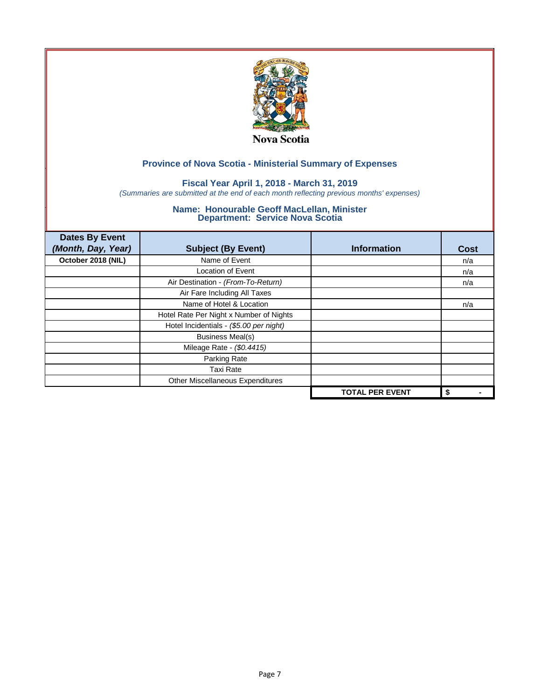

## **Fiscal Year April 1, 2018 - March 31, 2019**

*(Summaries are submitted at the end of each month reflecting previous months' expenses)*

| <b>Dates By Event</b><br>(Month, Day, Year) | <b>Subject (By Event)</b>               | <b>Information</b>     | <b>Cost</b> |
|---------------------------------------------|-----------------------------------------|------------------------|-------------|
| October 2018 (NIL)                          | Name of Event                           |                        | n/a         |
|                                             | <b>Location of Event</b>                |                        | n/a         |
|                                             | Air Destination - (From-To-Return)      |                        | n/a         |
|                                             | Air Fare Including All Taxes            |                        |             |
|                                             | Name of Hotel & Location                |                        | n/a         |
|                                             | Hotel Rate Per Night x Number of Nights |                        |             |
|                                             | Hotel Incidentials - (\$5.00 per night) |                        |             |
|                                             | <b>Business Meal(s)</b>                 |                        |             |
|                                             | Mileage Rate - (\$0.4415)               |                        |             |
|                                             | Parking Rate                            |                        |             |
|                                             | <b>Taxi Rate</b>                        |                        |             |
|                                             | Other Miscellaneous Expenditures        |                        |             |
|                                             |                                         | <b>TOTAL PER EVENT</b> | \$          |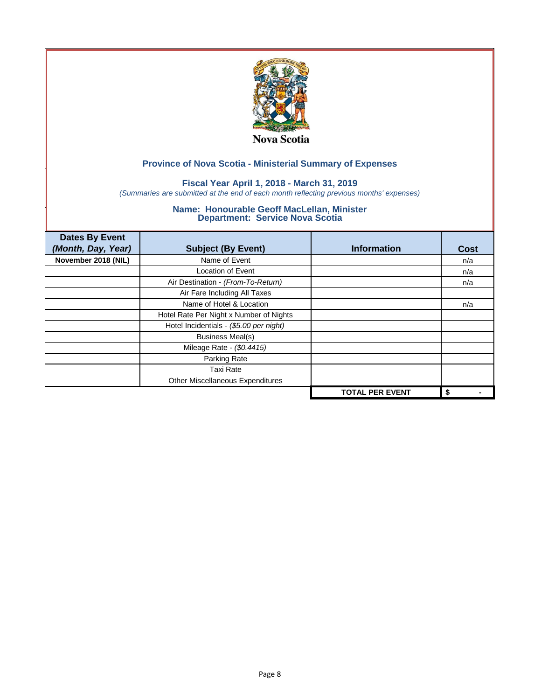

## **Fiscal Year April 1, 2018 - March 31, 2019**

*(Summaries are submitted at the end of each month reflecting previous months' expenses)*

| <b>Dates By Event</b><br>(Month, Day, Year) | <b>Subject (By Event)</b>               | <b>Information</b>     | Cost |
|---------------------------------------------|-----------------------------------------|------------------------|------|
| November 2018 (NIL)                         | Name of Event                           |                        | n/a  |
|                                             | <b>Location of Event</b>                |                        | n/a  |
|                                             | Air Destination - (From-To-Return)      |                        | n/a  |
|                                             | Air Fare Including All Taxes            |                        |      |
|                                             | Name of Hotel & Location                |                        | n/a  |
|                                             | Hotel Rate Per Night x Number of Nights |                        |      |
|                                             | Hotel Incidentials - (\$5.00 per night) |                        |      |
|                                             | <b>Business Meal(s)</b>                 |                        |      |
|                                             | Mileage Rate - (\$0.4415)               |                        |      |
|                                             | Parking Rate                            |                        |      |
|                                             | <b>Taxi Rate</b>                        |                        |      |
|                                             | Other Miscellaneous Expenditures        |                        |      |
|                                             |                                         | <b>TOTAL PER EVENT</b> | \$   |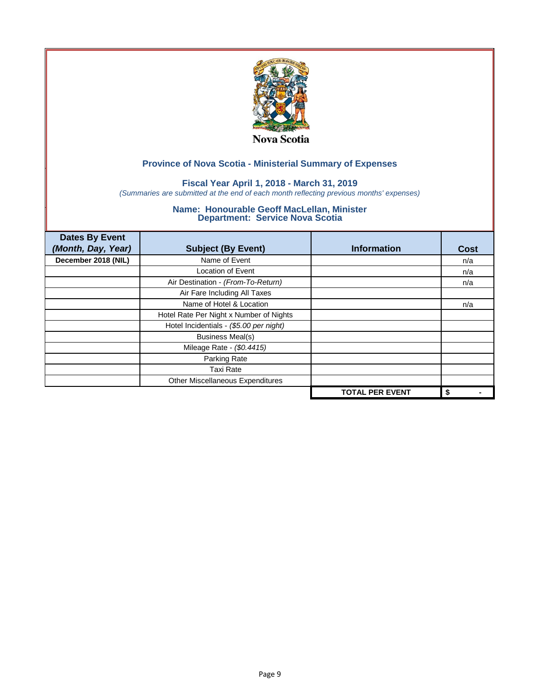

## **Fiscal Year April 1, 2018 - March 31, 2019**

*(Summaries are submitted at the end of each month reflecting previous months' expenses)*

| <b>Dates By Event</b><br>(Month, Day, Year) | <b>Subject (By Event)</b>               | <b>Information</b>     | <b>Cost</b> |
|---------------------------------------------|-----------------------------------------|------------------------|-------------|
| December 2018 (NIL)                         | Name of Event                           |                        | n/a         |
|                                             | <b>Location of Event</b>                |                        | n/a         |
|                                             | Air Destination - (From-To-Return)      |                        | n/a         |
|                                             | Air Fare Including All Taxes            |                        |             |
|                                             | Name of Hotel & Location                |                        | n/a         |
|                                             | Hotel Rate Per Night x Number of Nights |                        |             |
|                                             | Hotel Incidentials - (\$5.00 per night) |                        |             |
|                                             | <b>Business Meal(s)</b>                 |                        |             |
|                                             | Mileage Rate - (\$0.4415)               |                        |             |
|                                             | Parking Rate                            |                        |             |
|                                             | <b>Taxi Rate</b>                        |                        |             |
|                                             | Other Miscellaneous Expenditures        |                        |             |
|                                             |                                         | <b>TOTAL PER EVENT</b> | \$          |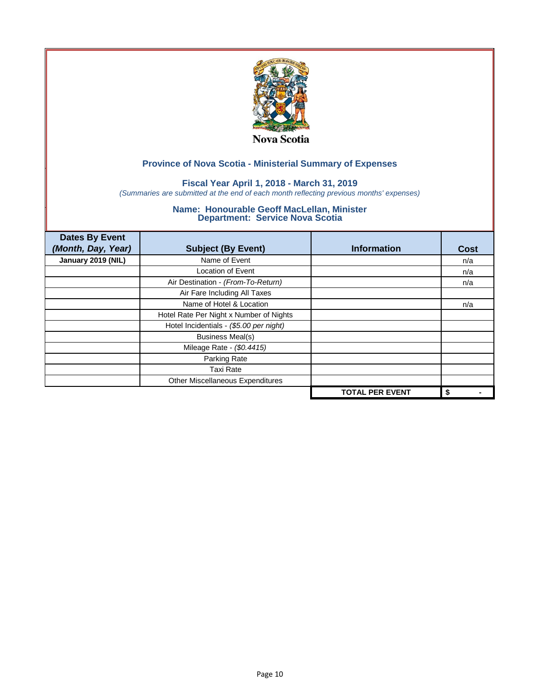

## **Fiscal Year April 1, 2018 - March 31, 2019**

*(Summaries are submitted at the end of each month reflecting previous months' expenses)*

| <b>Dates By Event</b><br>(Month, Day, Year) | <b>Subject (By Event)</b>               | <b>Information</b>     | <b>Cost</b> |
|---------------------------------------------|-----------------------------------------|------------------------|-------------|
| January 2019 (NIL)                          | Name of Event                           |                        | n/a         |
|                                             | <b>Location of Event</b>                |                        | n/a         |
|                                             | Air Destination - (From-To-Return)      |                        | n/a         |
|                                             | Air Fare Including All Taxes            |                        |             |
|                                             | Name of Hotel & Location                |                        | n/a         |
|                                             | Hotel Rate Per Night x Number of Nights |                        |             |
|                                             | Hotel Incidentials - (\$5.00 per night) |                        |             |
|                                             | <b>Business Meal(s)</b>                 |                        |             |
|                                             | Mileage Rate - (\$0.4415)               |                        |             |
|                                             | Parking Rate                            |                        |             |
|                                             | <b>Taxi Rate</b>                        |                        |             |
|                                             | Other Miscellaneous Expenditures        |                        |             |
|                                             |                                         | <b>TOTAL PER EVENT</b> | \$          |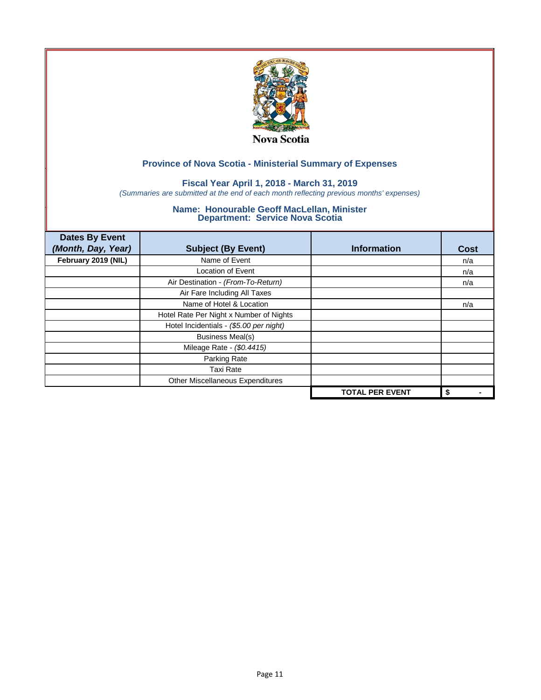

## **Fiscal Year April 1, 2018 - March 31, 2019**

*(Summaries are submitted at the end of each month reflecting previous months' expenses)*

| <b>Dates By Event</b><br>(Month, Day, Year) | <b>Subject (By Event)</b>               | <b>Information</b>     | <b>Cost</b> |
|---------------------------------------------|-----------------------------------------|------------------------|-------------|
| February 2019 (NIL)                         | Name of Event                           |                        | n/a         |
|                                             | <b>Location of Event</b>                |                        | n/a         |
|                                             | Air Destination - (From-To-Return)      |                        | n/a         |
|                                             | Air Fare Including All Taxes            |                        |             |
|                                             | Name of Hotel & Location                |                        | n/a         |
|                                             | Hotel Rate Per Night x Number of Nights |                        |             |
|                                             | Hotel Incidentials - (\$5.00 per night) |                        |             |
|                                             | <b>Business Meal(s)</b>                 |                        |             |
|                                             | Mileage Rate - (\$0.4415)               |                        |             |
|                                             | Parking Rate                            |                        |             |
|                                             | Taxi Rate                               |                        |             |
|                                             | Other Miscellaneous Expenditures        |                        |             |
|                                             |                                         | <b>TOTAL PER EVENT</b> | \$          |